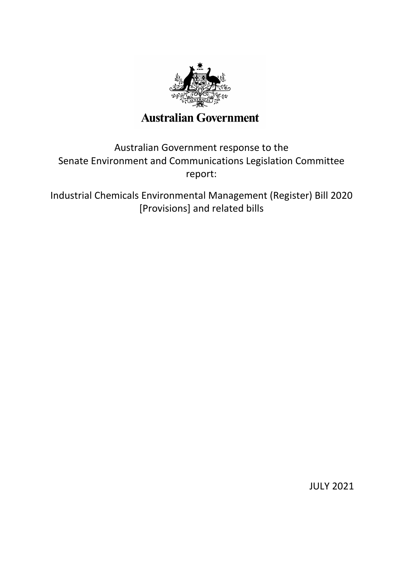

# Australian Government response to the Senate Environment and Communications Legislation Committee report:

Industrial Chemicals Environmental Management (Register) Bill 2020 [Provisions] and related bills

JULY 2021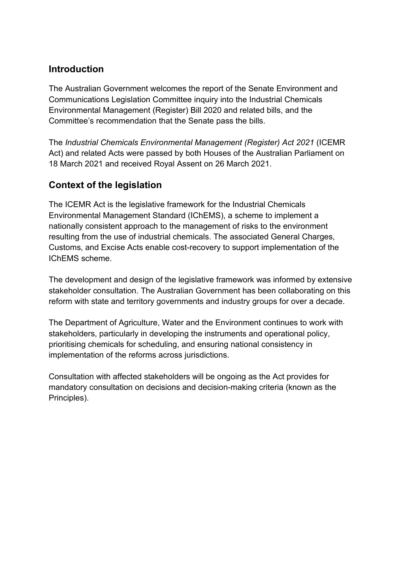### **Introduction**

The Australian Government welcomes the report of the Senate Environment and Communications Legislation Committee inquiry into the Industrial Chemicals Environmental Management (Register) Bill 2020 and related bills, and the Committee's recommendation that the Senate pass the bills.

The *Industrial Chemicals Environmental Management (Register) Act 2021* (ICEMR Act) and related Acts were passed by both Houses of the Australian Parliament on 18 March 2021 and received Royal Assent on 26 March 2021.

# **Context of the legislation**

The ICEMR Act is the legislative framework for the Industrial Chemicals Environmental Management Standard (IChEMS), a scheme to implement a nationally consistent approach to the management of risks to the environment resulting from the use of industrial chemicals. The associated General Charges, Customs, and Excise Acts enable cost-recovery to support implementation of the IChEMS scheme.

The development and design of the legislative framework was informed by extensive stakeholder consultation. The Australian Government has been collaborating on this reform with state and territory governments and industry groups for over a decade.

The Department of Agriculture, Water and the Environment continues to work with stakeholders, particularly in developing the instruments and operational policy, prioritising chemicals for scheduling, and ensuring national consistency in implementation of the reforms across jurisdictions.

Consultation with affected stakeholders will be ongoing as the Act provides for mandatory consultation on decisions and decision-making criteria (known as the Principles).